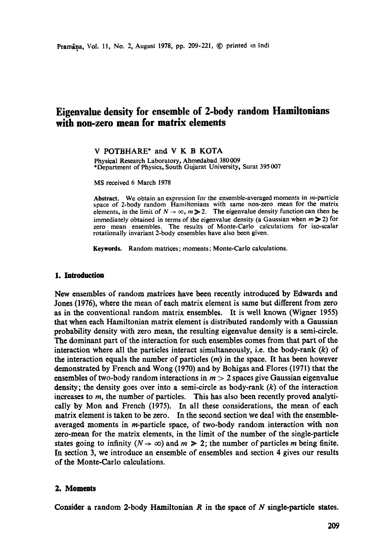# **Eigenvalue density for ensemble of 2-body random Hamiltonians with non-zero mean for matrix elements**

**V** POTBHARE\* and **V K B** KOTA

Physical Research Laboratory, Ahmedahad 380 009 \*Department of Physics, South Gujarat University, Surat 395 007

MS received 6 March 1978

Abstract. We obtain an expression for the ensemble-averaged moments in *m*-particle space of 2-body random Hamiltonians with same non-zero mean for the matrix elements, in the limit of  $N \to \infty$ ,  $m \ge 2$ . The eigenvalue density function can then be immediately obtained in terms of the eigenvalue density (a Gaussian when  $m \geqslant 2$ ) for zero mean ensembles. The results of Monte-Carlo calculations for iso-scalar rotationally invariant 2-body ensembles have also been given.

**Keywords.** Random matrices; moments; Monte-Carlo calculations.

#### **1. Introduction**

New ensembles of random matrices have been recently introduced by Edwards **and**  Jones (1976), where the mean of each matrix element is same but different from zero as in the conventional random matrix ensembles. It is well known (Wigner 1955) that when each Hamiltonian matrix element is distributed randomly with a Gaussian probability density with zero mean, the resulting eigenvalue density is a semi-circle. The dominant part of the interaction for such ensembles comes from that part of the interaction where all the particles interact simultaneously, i.e. the body-rank  $(k)$  of the interaction equals the number of particles  $(m)$  in the space. It has been however demonstrated by French and Wong (1970) and by Bohigas and Flores (1971) that the ensembles of two-body random interactions in  $m > 2$  spaces give Gaussian eigenvalue density; the density goes over into a semi-circle as body-rank  $(k)$  of the interaction increases to m, the number of particles. This has also been recently proved analytically by Mon and French (1975). In all these considerations, the mean of each matrix element is taken to be zero. In the second section we deal with the ensembleaveraged moments in m-particle space, of two-body random interaction with non zero-mean for the matrix elements, in the limit of the number of the single-particle states going to infinity  $(N \to \infty)$  and  $m \geq 2$ ; the number of particles m being finite. In section 3, we introduce an ensemble of ensembles and section 4 gives our results of the Monte-Carlo calculations.

## **2. Moments**

Consider a random 2-body Hamiltonian  $R$  in the space of  $N$  single-particle states.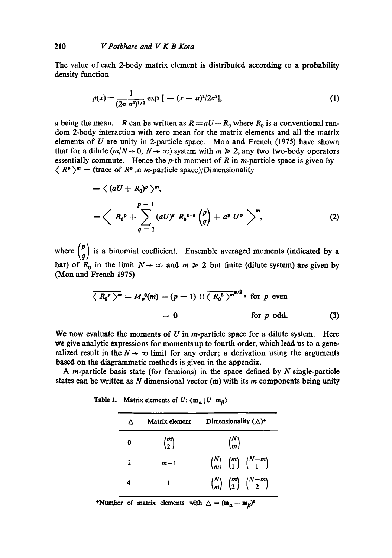The value of each 2-body matrix element is distributed according to a probability density function

$$
p(x) = \frac{1}{(2\pi \sigma^2)^{1/2}} \exp\left[ - (x - a)^2 / 2\sigma^2 \right],
$$
 (1)

a being the mean. R can be written as  $R = aU + R_0$  where  $R_0$  is a conventional random 2-body interaction with zero mean for the matrix elements and all the matrix elements of  $U$  are unity in 2-particle space. Mon and French (1975) have shown that for a dilute  $(m/N \rightarrow 0, N \rightarrow \infty)$  system with  $m \ge 2$ , any two two-body operators essentially commute. Hence the  $p$ -th moment of  $R$  in  $m$ -particle space is given by  $\langle R^p \rangle^m$  = (trace of  $R^p$  in *m*-particle space)/Dimensionality

$$
= \left\langle (aU + R_0)^p \right\rangle^m,
$$
  
=  $\left\langle R_0^p + \sum_{q=1}^{p-1} (aU)^q R_0^{p-q} {p \choose q} + a^p U^p \right\rangle^m,$  (2)

where  $\binom{p}{q}$  is a binomial coefficient. Ensemble averaged moments (indicated by a bar) of  $R_0$  in the limit  $N \to \infty$  and  $m > 2$  but finite (dilute system) are given by (Mon and French 1975)

$$
\overline{\langle R_0^p \rangle^m} = M_p^0(m) = (p-1)!! \overline{\langle R_0^2 \rangle^{m}}^{p/2} \text{ for } p \text{ even}
$$
  
= 0 \tfor p odd. \t(3)

We now evaluate the moments of  $U$  in *m*-particle space for a dilute system. Here we give analytic expressions for moments up to fourth order, which lead us to a generalized result in the  $N \rightarrow \infty$  limit for any order; a derivation using the arguments based on the diagrammatic methods is given in the appendix.

A *m*-particle basis state (for fermions) in the space defined by  $N$  single-particle states can be written as  $N$  dimensional vector (m) with its  $m$  components being unity

 $\Delta$  Matrix element Dimensionality  $(\Delta)^+$ 0  $\binom{m}{2}$   $\binom{n}{m}$ 2  $m-1$   $\binom{N}{m} \binom{m}{1} \binom{N-m}{1}$ 1  $\binom{N}{m} \binom{m}{2} \binom{N-m}{2}$  $\overline{\mathbf{4}}$ 

**Table 1.** Matrix elements of  $U: \langle m_a | U | m_\beta \rangle$ 

+Number of matrix elements with  $\Delta = (\mathbf{m}_a - \mathbf{m}_b)^2$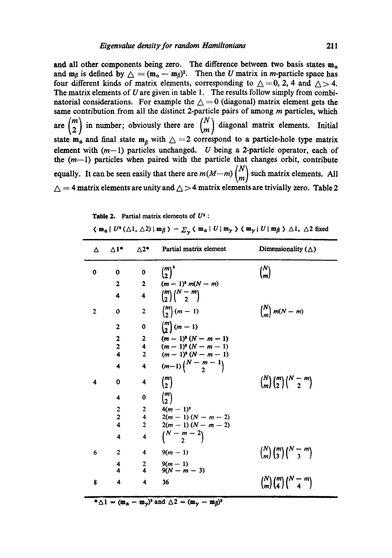and all other components being zero. The difference between two basis states  $m_a$ and m<sub>β</sub> is defined by  $\Delta = (m_a - m_\beta)^2$ . Then the U matrix in m-particle space has four different kinds of matrix elements, corresponding to  $\triangle = 0$ , 2, 4 and  $\triangle > 4$ . The matrix elements of  $U$  are given in table 1. The results follow simply from combinatorial considerations. For example the  $\triangle = 0$  (diagonal) matrix element gets the same contribution from all the distinct 2-particle pairs of among  $m$  particles, which are  $\binom{m}{2}$  in number; obviously there are  $\binom{N}{m}$  diagonal matrix elements. Initial state  $m_{\alpha}$  and final state  $m_{\beta}$  with  $\Delta = 2$  correspond to a particle-hole type matrix element with  $(m-1)$  particles unchanged. U being a 2-particle operator, each of the  $(m-1)$  particles when paired with the particle that changes orbit, contribute equally. It can be seen easily that there are  $m(M-m)\binom{N}{m}$  such matrix elements. All  $\triangle = 4$  matrix elements are unity and  $\triangle > 4$  matrix elements are trivially zero. Table 2

**Table 2.** Partial matrix elements of  $U^2$ :

|  | $\langle m_{\alpha}   U^{\alpha}(\Delta 1, \Delta 2)   m_{\beta} \rangle = \sum_{\gamma} \langle m_{\alpha}   U   m_{\gamma} \rangle \langle m_{\gamma}   U   m_{\beta} \rangle \Delta 1$ , $\Delta 2$ fixed |
|--|--------------------------------------------------------------------------------------------------------------------------------------------------------------------------------------------------------------|
|--|--------------------------------------------------------------------------------------------------------------------------------------------------------------------------------------------------------------|

| Δ            | $\Delta$ 1*             | $\Delta 2^*$            | Partial matrix element       | Dimensionality $(\triangle)$             |
|--------------|-------------------------|-------------------------|------------------------------|------------------------------------------|
| 0            | $\bf{0}$                | $\mathbf 0$             | ${m \choose 2}^3$            | ${N \choose m}$                          |
|              | 2                       | $\mathbf{2}$            | $(m-1)^{2} m(N-m)$           |                                          |
|              | 4                       | $\overline{\mathbf{4}}$ | $\binom{m}{2}\binom{N-m}{2}$ |                                          |
| $\mathbf{2}$ | 0                       | $\overline{2}$          | $\binom{m}{2}(m-1)$          | $\binom{N}{m}$ m(N – m)                  |
|              | $\overline{2}$          | 0                       | $\binom{m}{2}(m-1)$          |                                          |
|              | 2                       | $\mathbf{2}$            | $(m-1)^{s}(N-m-1)$           |                                          |
|              | $\overline{\mathbf{c}}$ | $4^{\circ}$             | $(m-1)^{s}(N-m-1)$           |                                          |
|              | $\overline{\mathbf{4}}$ | $\overline{2}$          | $(m-1)^{2}(N-m-1)$           |                                          |
|              | 4                       | $\ddot{\bf{4}}$         | $(m-1)\binom{N-m-1}{2}$      |                                          |
| 4            | 0                       | 4                       | $\binom{m}{2}$               | $\binom{N}{m}\binom{m}{2}\binom{N-m}{2}$ |
|              | 4                       | $\bf{0}$                | $\binom{m}{2}$               |                                          |
|              | 2                       | $\mathbf{2}$            | $4(m-1)^2$                   |                                          |
|              | $\overline{\mathbf{c}}$ |                         | 4 $2(m-1)(N-m-2)$            |                                          |
|              | $\overline{\mathbf{A}}$ | $\overline{2}$          | $2(m-1)(N-m-2)$              |                                          |
|              | 4                       | 4                       | $\binom{N-m-2}{2}$           |                                          |
| 6            | $\mathbf{2}$            | 4                       | $9(m - 1)$                   | $\binom{N}{m}\binom{m}{3}\binom{N-m}{3}$ |
|              | 4<br>4                  | $\frac{2}{4}$           | $\frac{9(m-1)}{9(N-m-3)}$    |                                          |
| 8            | 4                       | 4                       | 36                           | $\binom{N}{m}\binom{m}{4}\binom{N-m}{4}$ |

الاستحالي المستبيرات

 $\mathbf{A}^* \Delta \mathbf{1} = (\mathbf{m}_a - \mathbf{m}_\gamma)^2$  and  $\Delta 2 = (\mathbf{m}_\gamma - \mathbf{m}_\beta)^2$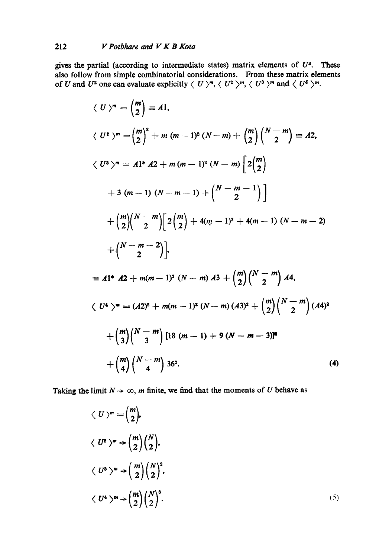gives the partial (according to intermediate states) matrix elements of  $U^2$ . These also follow from simple combinatorial considerations. From these matrix elements of U and  $U^2$  one can evaluate explicitly  $\langle U \rangle^m$ ,  $\langle U^2 \rangle^m$ ,  $\langle U^3 \rangle^m$  and  $\langle U^4 \rangle^m$ .

$$
\langle U \rangle^{m} = {m \choose 2} = A1,
$$
  
\n
$$
\langle U^{2} \rangle^{m} = {m \choose 2}^{2} + m (m-1)^{2} (N-m) + {m \choose 2} {N-m \choose 2} = A2,
$$
  
\n
$$
\langle U^{3} \rangle^{m} = A1^{*} A2 + m (m-1)^{2} (N-m) \left[ 2 {m \choose 2} + 3 (m-1) (N-m-1) + {N-m-1 \choose 2} \right]
$$
  
\n
$$
+ {m \choose 2} {N-m \choose 2} \left[ 2 {m \choose 2} + 4(m-1)^{2} + 4(m-1) (N-m-2) + {N-m-2 \choose 2} \right],
$$
  
\n
$$
= A1^{*} A2 + m(m-1)^{2} (N-m) A3 + {m \choose 2} {N-m \choose 2} A4,
$$
  
\n
$$
\langle U^{4} \rangle^{m} = (A2)^{2} + m(m-1)^{2} (N-m) (A3)^{2} + {m \choose 2} {N-m \choose 2} (A4)^{2}
$$
  
\n
$$
+ {m \choose 3} {N-m \choose 3} [18 (m-1) + 9 (N-m-3)]^{2}
$$
  
\n
$$
+ {m \choose 4} {N-m \choose 4} 36^{2}.
$$
  
\n(4)

Taking the limit  $N \to \infty$ , m finite, we find that the moments of U behave as

$$
\langle U \rangle^{m} = {m \choose 2},
$$
  
\n
$$
\langle U^{2} \rangle^{m} \rightarrow {m \choose 2} {N \choose 2},
$$
  
\n
$$
\langle U^{3} \rangle^{m} \rightarrow {m \choose 2} {N \choose 2}^{2},
$$
  
\n
$$
\langle U^{4} \rangle^{m} \rightarrow {m \choose 2} {N \choose 2}^{3}.
$$
  
\n(5)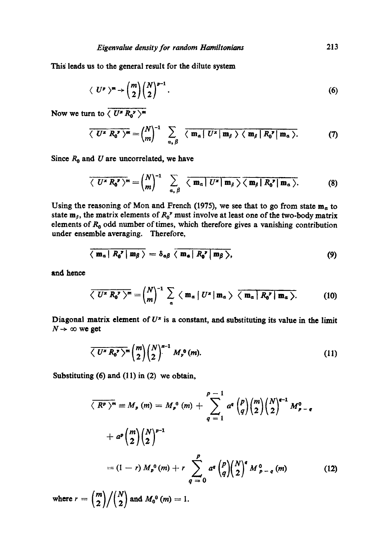This leads us to the general result for the dilute system

$$
\langle U^p \rangle^m \to \binom{m}{2} \binom{N}{2}^{p-1} . \tag{6}
$$

Now we turn to  $\langle U^* R_0^* \rangle^m$ 

$$
\overline{\langle U^* R_0' \rangle^m} = {N \choose m}^{-1} \sum_{\alpha, \beta} \overline{\langle m_\alpha | U^* | m_\beta \rangle \langle m_\beta | R_0' | m_\alpha \rangle}.
$$
 (7)

Since  $R_0$  and U are uncorrelated, we have

$$
\overline{\langle U^* R_0' \rangle^m} = \begin{pmatrix} N \\ m \end{pmatrix}^{-1} \sum_{\alpha, \beta} \overline{\langle m_\alpha | U^* | m_\beta \rangle \langle m_\beta | R_0' | m_\alpha \rangle}.
$$
 (8)

Using the reasoning of Mon and French (1975), we see that to go from state  $m_a$  to state  $m_{\beta}$ , the matrix elements of  $R_0$ <sup>,</sup> must involve at least one of the two-body matrix elements of  $R_0$  odd number of times, which therefore gives a vanishing contribution under ensemble averaging. Therefore,

$$
\langle \mathbf{m}_a | R_0^{\mathbf{v}} | \mathbf{m}_\beta \rangle = \delta_{\alpha\beta} \langle \mathbf{m}_a | R_0^{\mathbf{v}} | \mathbf{m}_\beta \rangle, \tag{9}
$$

and hence

$$
\overline{\langle U^* R_0^* \rangle^m} = {N \choose m}^{-1} \sum_{\alpha} \langle m_{\alpha} | U^* | m_{\alpha} \rangle \overline{\langle m_{\alpha} | R_0^* | m_{\alpha} \rangle}.
$$
 (10)

Diagonal matrix element of  $U^x$  is a constant, and substituting its value in the limit  $N \rightarrow \infty$  we get

$$
\overline{\langle U^* R_0^* \rangle^m} {m \choose 2} {N \choose 2}^{x-1} M_y^0(m).
$$
 (11)

Substituting (6) and (11) in (2) we obtain,

$$
\overline{\langle R^p \rangle^m} \equiv M_p(m) = M_p^0(m) + \sum_{q=1}^{p-1} a^q {p \choose q} {m \choose 2} {N \choose 2}^{q-1} M_{p-q}^0
$$
  
+ 
$$
a^p {m \choose 2} {N \choose 2}^{p-1}
$$
  
= 
$$
(1-r) M_p^0(m) + r \sum_{q=0}^{p} a^q {p \choose q} {N \choose 2}^q M_{p-q}^0(m)
$$
 (12)

where  $r = {m \choose 2} / {N \choose 2}$  and  $M_0^0$   $(m)=1$ .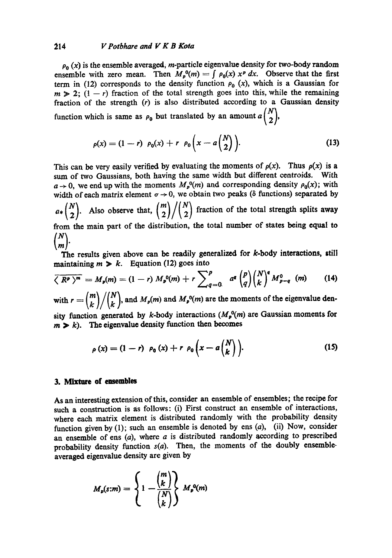#### :~14 *V Potbhare and V K B Kota*

 $\rho_0(x)$  is the ensemble averaged, *m*-particle eigenvalue density for two-body random ensemble with zero mean. Then  $M_p^0(m) = \int \rho_0(x) x^p dx$ . Observe that the first term in (12) corresponds to the density function  $\rho_0(x)$ , which is a Gaussian for  $m \geq 2$ ;  $(1 - r)$  fraction of the total strength goes into this, while the remaining fraction of the strength (r) is also distributed according to a Gaussian density function which is same as  $\rho_0$  but translated by an amount  $a\begin{pmatrix}N\\2\end{pmatrix}$ ,

$$
\rho(x) = (1 - r) \ \rho_0(x) + r \ \rho_0\left(x - a\left(\frac{N}{2}\right)\right).
$$
 (13)

This can be very easily verified by evaluating the moments of  $\rho(x)$ . Thus  $\rho(x)$  is a sum of two Gaussians, both having the same width but different centroids. With  $a \rightarrow 0$ , we end up with the moments  $M_p^0(m)$  and corresponding density  $\rho_0(x)$ ; with width of each matrix element  $\sigma \rightarrow 0$ , we obtain two peaks ( $\delta$  functions) separated by  $a*{N \choose 2}$ . Also observe that,  ${m \choose 2} / {N \choose 2}$  fraction of the total strength splits away from the main part of the distribution, the total number of states being equal to  $\binom{N}{m}$ .

The results given above can be readily generalized for k-body interactions, still maintaining  $m \geq k$ . Equation (12) goes into

$$
\overline{\langle R^p \rangle^m} = M_p(m) = (1-r) M_p^0(m) + r \sum_{q=0}^p a^q {p \choose q} {N \choose k}^q M_{p-q}^0 \quad (14)
$$

with  $r = {m \choose k} / {N \choose k}$ , and  $M_p(m)$  and  $M_p^0(m)$  are the moments of the eigenvalue den-

sity function generated by k-body interactions  $(M_p^0(m)$  are Gaussian moments for  $m > k$ ). The eigenvalue density function then becomes

$$
\rho(x) = (1 - r) \ \rho_0(x) + r \ \rho_0\left(x - a\binom{N}{k}\right). \tag{15}
$$

#### **3. Mixture of ensembles**

As an interesting extension of this, consider an ensemble of ensembles; the recipe for such a construction is as follows: (i) First construct an ensemble of interactions, where each matrix element is distributed randomly with the probability density function given by  $(1)$ ; such an ensemble is denoted by ens  $(a)$ ,  $(ii)$  Now, consider an ensemble of ens  $(a)$ , where  $a$  is distributed randomly according to prescribed probability density function  $s(a)$ . Then, the moments of the doubly ensembleaveraged eigenvalue density are given by

$$
M_p(s:m) = \left\{1 - \frac{\binom{m}{k}}{\binom{N}{k}}\right\} M_p^0(m)
$$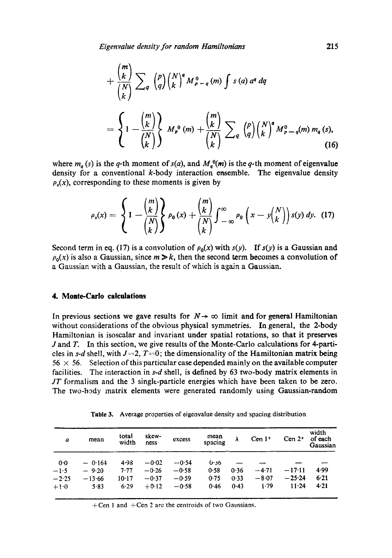*Eigenvalue density for random Hamiltonians* 215

$$
+\frac{\binom{m}{k}}{\binom{N}{k}}\sum_{q}\binom{p}{q}\binom{N}{k}^{q}M_{p-q}^{0}(m)\int s(a)\,a^{q}\,dq
$$

$$
=\left\{1-\frac{\binom{m}{k}}{\binom{N}{k}}\right\}M_{p}^{0}(m)+\frac{\binom{m}{k}}{\binom{N}{k}}\sum_{q}\binom{p}{q}\binom{N}{k}^{q}M_{p-q}^{0}(m)m_{q}(s),\tag{16}
$$

where  $m_q(s)$  is the q-th moment of  $s(a)$ , and  $M_q^0(m)$  is the q-th moment of eigenvalue density for a conventional  $k$ -body interaction ensemble. The eigenvalue density  $p<sub>s</sub>(x)$ , corresponding to these moments is given by

$$
\rho_s(x) = \left\{ 1 - \frac{\binom{m}{k}}{\binom{N}{k}} \right\} \rho_0(x) + \frac{\binom{m}{k}}{\binom{N}{k}} \int_{-\infty}^{\infty} \rho_0\left(x - y\binom{N}{k}\right) s(y) \, dy. \tag{17}
$$

Second term in eq. (17) is a convolution of  $\rho_0(x)$  with  $s(y)$ . If  $s(y)$  is a Gaussian and  $\rho_0(x)$  is also a Gaussian, since  $m \ge k$ , then the second term becomes a convolution of a Gaussian with a Gaussian, the result of which is again a Gaussian.

#### **4. Moate-Carlo calculations**

In previous sections we gave results for  $N \rightarrow \infty$  limit and for general Hamiltonian without considerations of the obvious physical symmetries. In general, the 2-body Hamiltonian is isoscalar and invariant under spatial rotations, so that it preserves J and T. In this section, we give results of the Monte-Carlo calculations for 4-particles in *s-d* shell, with  $J=2$ ,  $T=0$ ; the dimensionality of the Hamiltonian matrix being  $56 \times 56$ . Selection of this particular case depended mainly on the available computer facilities. The interaction in *s-d* shell, is defined by 63 two-body matrix elements in *JT* formalism and the 3 single-particle energies which have been taken to be zero. The two-body matrix elements were generated randomly using Gaussian-random

**Table** 3. Average properties of eigenvalue density and spacing distribution

| a       | mean     | total<br>width | skew-<br>ness | excess  | mean<br>spacing | λ    | $Cen1+$ | $Cen 2+$  | width<br>of each<br>Gaussian |
|---------|----------|----------------|---------------|---------|-----------------|------|---------|-----------|------------------------------|
| 0.0     | $-0.164$ | 4.98           | $-0.02$       | $-0.54$ | 0.36            |      |         |           |                              |
| $-1.5$  | $-9.20$  | 7.77           | $-0.26$       | $-0.58$ | 0.58            | 0.36 | $-4.71$ | $-17.11$  | 4.99                         |
| $-2.25$ | $-13.66$ | 10.17          | $-0.37$       | $-0.59$ | 0.75            | 0.33 | $-8.07$ | $-25.24$  | 6.21                         |
| $+1.0$  | 5.83     | 6.29           | $+0.12$       | $-0.58$ | 0.46            | 0.43 | 1.79    | $11 - 24$ | 4.21                         |

 $+$ Cen 1 and  $+$ Cen 2 are the centroids of two Gaussians.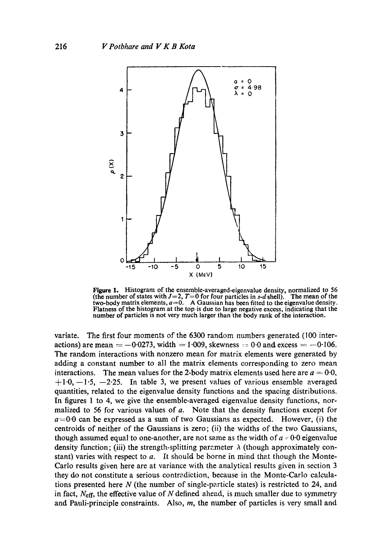

**Figure 1.** Histogram of the ensemble-averaged-eigenvalue density, normalized to 56 (the number of states with  $J=2$ ,  $T=0$  for four particles in s-d shell). The mean of the two-body matrix elements,  $a=0$ . A Gaussian has been fitted to the eigenvalue density. Flatness of the histogram at the top is due to large negative excess, indicating that the number of particles is not very much larger than the body rank of the interaction.

variate. The first four moments of the 6300 random numbers generated (100 interactions) are mean  $=-0.0273$ , width  $=1.009$ , skewness  $=0.0$  and excess  $=-0.106$ . The random interactions with nonzero mean for matrix elements were generated by adding a constant number to all the matrix elements corresponding to zero mean interactions. The mean values for the 2-body matrix elements used here are  $a = 0.0$ ,  $+1.0, -1.5, -2.25$ . In table 3, we present values of various ensemble averaged quantities, related to the eigenvalue density functions and the spacing distributions. In figures 1 to 4, we give the ensemble-averaged eigenvalue density functions, normalized to 56 for various values of  $a$ . Note that the density functions except for  $a=0.0$  can be expressed as a sum of two Gaussians as expected. However, (i) the centroids of neither of the Gaussians is zero; (ii) the widths of the two Gaussians, though assumed equal to one-another, are not same as the width of  $a = 0.0$  eigenvalue density function; (iii) the strength-splitting parameter  $\lambda$  (though approximately constant) varies with respect to  $a$ . It should be borne in mind that though the Monte-Carlo results given here are at variance with the analytical results given in section 3 they do not constitute a serious contradiction, because in the Monte-Carlo calculations presented here N (the number of single-particle states) is restricted to 24, and in fact,  $N_{\text{eff}}$ , the effective value of N defined ahead, is much smaller due to symmetry and Pauli-principle constraints. Also,  $m$ , the number of particles is very small and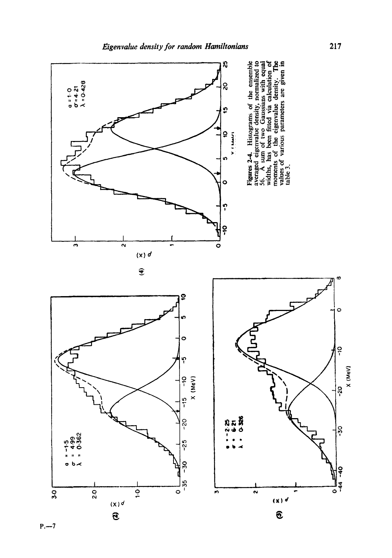

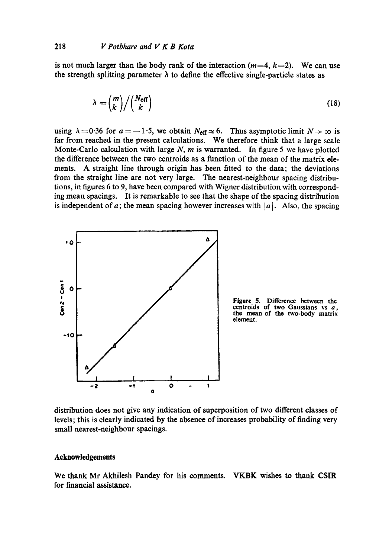is not much larger than the body rank of the interaction  $(m=4, k=2)$ . We can use the strength splitting parameter  $\lambda$  to define the effective single-particle states as

$$
\lambda = \binom{m}{k} / \binom{N_{\text{eff}}}{k} \tag{18}
$$

using  $\lambda = 0.36$  for  $a = -1.5$ , we obtain  $N_{\text{eff}} \simeq 6$ . Thus asymptotic limit  $N \rightarrow \infty$  is far from reached in the present calculations. We therefore think that a large scale Monte-Carlo calculation with large  $N$ ,  $m$  is warranted. In figure 5 we have plotted the difference between the two centroids as a function of the mean of the matrix elements. A straight line through origin has been fitted to the data; the deviations from the straight line are not very large. The nearest-neighbour spacing distributions, in figures 6 to 9, have been compared with Wigner distribution with corresponding mean spacings. It is remarkable to see that the shape of the spacing distribution is independent of a; the mean spacing however increases with  $|a|$ . Also, the spacing



**Figure** 5. Difference between **the**  centroids of two Gaussians vs a, **the** mean of the two-body matrix element.

distribution does not give any indication of superposition of two different classes of levels; this is clearly indicated by the absence of increases probability of finding very small nearest-neighbour spacings.

#### **Acknowledgements**

We thank Mr Akhilesh Pandey for his comments. VK.BK wishes to thank CSIR for financial assistance.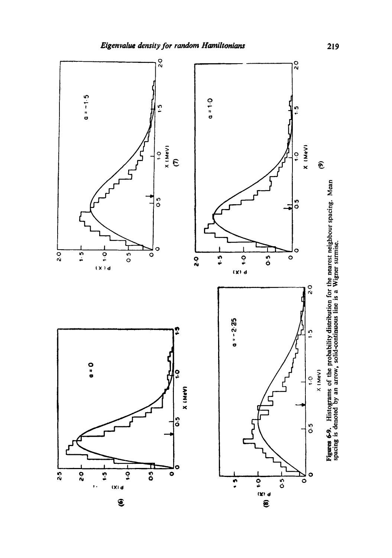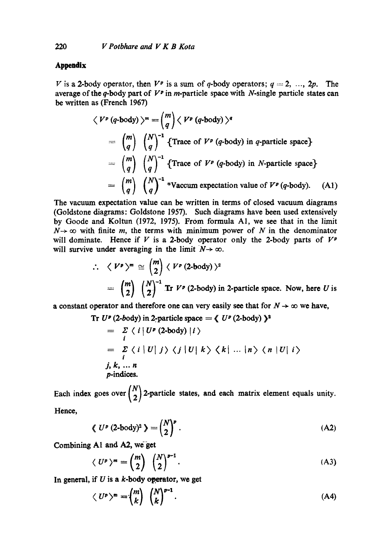# **Appendix**

V is a 2-body operator, then  $V^p$  is a sum of q-body operators;  $q = 2, ..., 2p$ . The average of the q-body part of  $V^p$  in m-particle space with N-single particle states can be written as (French 1967)

$$
\langle V^p (q\text{-body}) \rangle^m = {m \choose q} \langle V^p (q\text{-body}) \rangle^q
$$
  
=  ${m \choose q} {N \choose q}^{-1}$  {Trace of  $V^p (q\text{-body})$  in *q*-particle space}  
=  ${m \choose q} {N \choose q}^{-1}$  {Trace of  $V^p (q\text{-body})$  in *N*-particle space}  
=  ${m \choose q} {N \choose q}^{-1}$  \*Vacum expectation value of  $V^p (q\text{-body})$ . (A1)

The vacuum expectation value can be written in terms of closed vacuum diagrams (Goldstone diagrams: Goldstone 1957). Such diagrams have been used extensively by Goode and Koltun (1972, 1975). From formula A1, we see that in the limit  $N \rightarrow \infty$  with finite m, the terms with minimum power of N in the denominator will dominate. Hence if V is a 2-body operator only the 2-body parts of  $V^p$ will survive under averaging in the limit  $N \rightarrow \infty$ .

$$
\therefore \langle V^p \rangle^m \cong {m \choose 2} \langle V^p (2 \text{-body}) \rangle^2
$$
  
=  ${m \choose 2} {N \choose 2}^{-1}$  Tr  $V^p (2 \text{-body})$  in 2-particle space. Now, here U is

a constant operator and therefore one can very easily see that for  $N \to \infty$  we have,

Tr 
$$
U^p
$$
 (2-body) in 2-particle space =  $\langle U^p$  (2-body)  $\rangle^2$   
\n
$$
= \sum_i \langle i | U^p
$$
 (2-body)  $|i \rangle$   
\n
$$
= \sum_i \langle i | U | j \rangle \langle j | U | k \rangle \langle k | \dots | n \rangle \langle n | U | i \rangle
$$
  
\n
$$
= \sum_i \langle i | U | j \rangle \langle j | U | k \rangle \langle k | \dots | n \rangle \langle n | U | i \rangle
$$
  
\n
$$
= \sum_i \langle i | U | j \rangle \langle j | U | k \rangle \langle k | \dots | n \rangle \langle n | U | i \rangle
$$
  
\n
$$
= \sum_i \langle i | U | j \rangle \langle j | U | k \rangle \langle k | \dots | n \rangle \langle n | U | i \rangle
$$

Each index goes over  $\binom{1}{2}$  2-particle states, and each matrix element equals unity. Hence,

$$
\langle U^p (2-body)^2 \rangle = \binom{N}{2}^p . \tag{A2}
$$

Combining A1 and A2, we get

$$
\langle U^p \rangle^m = \binom{m}{2} \binom{N}{2}^{p-1}.
$$
 (A3)

In general, if  $U$  is a  $k$ -body operator, we get

$$
\langle U^p \rangle^m = \binom{m}{k} \binom{N}{k}^{p-1}.
$$
 (A4)